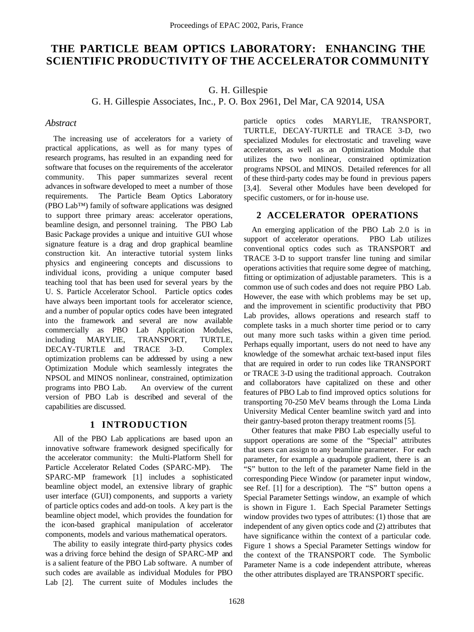# **THE PARTICLE BEAM OPTICS LABORATORY: ENHANCING THE SCIENTIFIC PRODUCTIVITY OF THE ACCELERATOR COMMUNITY**

G. H. Gillespie

G. H. Gillespie Associates, Inc., P. O. Box 2961, Del Mar, CA 92014, USA

## *Abstract*

The increasing use of accelerators for a variety of practical applications, as well as for many types of research programs, has resulted in an expanding need for software that focuses on the requirements of the accelerator community. This paper summarizes several recent advances in software developed to meet a number of those requirements. The Particle Beam Optics Laboratory (PBO Lab™) family of software applications was designed to support three primary areas: accelerator operations, beamline design, and personnel training. The PBO Lab Basic Package provides a unique and intuitive GUI whose signature feature is a drag and drop graphical beamline construction kit. An interactive tutorial system links physics and engineering concepts and discussions to individual icons, providing a unique computer based teaching tool that has been used for several years by the U. S. Particle Accelerator School. Particle optics codes have always been important tools for accelerator science, and a number of popular optics codes have been integrated into the framework and several are now available commercially as PBO Lab Application Modules, including MARYLIE, TRANSPORT, TURTLE, DECAY-TURTLE and TRACE 3-D. Complex optimization problems can be addressed by using a new Optimization Module which seamlessly integrates the NPSOL and MINOS nonlinear, constrained, optimization programs into PBO Lab. An overview of the current version of PBO Lab is described and several of the capabilities are discussed.

#### **1 INTRODUCTION**

All of the PBO Lab applications are based upon an innovative software framework designed specifically for the accelerator community: the Multi-Platform Shell for Particle Accelerator Related Codes (SPARC-MP). The SPARC-MP framework [1] includes a sophisticated beamline object model, an extensive library of graphic user interface (GUI) components, and supports a variety of particle optics codes and add-on tools. A key part is the beamline object model, which provides the foundation for the icon-based graphical manipulation of accelerator components, models and various mathematical operators.

The ability to easily integrate third-party physics codes was a driving force behind the design of SPARC-MP and is a salient feature of the PBO Lab software. A number of such codes are available as individual Modules for PBO Lab [2]. The current suite of Modules includes the particle optics codes MARYLIE, TRANSPORT, TURTLE, DECAY-TURTLE and TRACE 3-D, two specialized Modules for electrostatic and traveling wave accelerators, as well as an Optimization Module that utilizes the two nonlinear, constrained optimization programs NPSOL and MINOS. Detailed references for all of these third-party codes may be found in previous papers [3,4]. Several other Modules have been developed for specific customers, or for in-house use.

# **2 ACCELERATOR OPERATIONS**

An emerging application of the PBO Lab 2.0 is in support of accelerator operations. PBO Lab utilizes conventional optics codes such as TRANSPORT and TRACE 3-D to support transfer line tuning and similar operations activities that require some degree of matching, fitting or optimization of adjustable parameters. This is a common use of such codes and does not require PBO Lab. However, the ease with which problems may be set up, and the improvement in scientific productivity that PBO Lab provides, allows operations and research staff to complete tasks in a much shorter time period or to carry out many more such tasks within a given time period. Perhaps equally important, users do not need to have any knowledge of the somewhat archaic text-based input files that are required in order to run codes like TRANSPORT or TRACE 3-D using the traditional approach. Coutrakon and collaborators have capitalized on these and other features of PBO Lab to find improved optics solutions for transporting 70-250 MeV beams through the Loma Linda University Medical Center beamline switch yard and into their gantry-based proton therapy treatment rooms [5].

Other features that make PBO Lab especially useful to support operations are some of the "Special" attributes that users can assign to any beamline parameter. For each parameter, for example a quadrupole gradient, there is an "S" button to the left of the parameter Name field in the corresponding Piece Window (or parameter input window, see Ref. [1] for a description). The "S" button opens a Special Parameter Settings window, an example of which is shown in Figure 1. Each Special Parameter Settings window provides two types of attributes: (1) those that are independent of any given optics code and (2) attributes that have significance within the context of a particular code. Figure 1 shows a Special Parameter Settings window for the context of the TRANSPORT code. The Symbolic Parameter Name is a code independent attribute, whereas the other attributes displayed are TRANSPORT specific.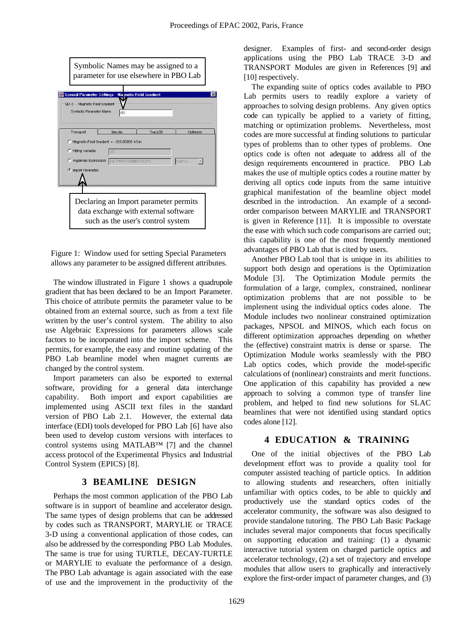| Symbolic Names may be assigned to a<br>parameter for use elsewhere in PBO Lab          |  |
|----------------------------------------------------------------------------------------|--|
| Special Parameter Settings - Magnetic-Field Gradient<br>QD-3 - Magnetic-Field Gradient |  |
| Symbolic Parameter Name:<br>G3                                                         |  |
| Trace3D<br>Marylie<br>Optimizer<br>Transport                                           |  |
| Magnetic-Field Gradient = -265.00000 kG/m<br>o                                         |  |
| Fitting Variable:<br>C.<br>G3                                                          |  |
| C Algebraic Expression: 8E-7*PI*N*CURRENT/A3**2<br><b>VARY</b>                         |  |
| <b><i>C</i></b> Import Parameter                                                       |  |
| Declaring an Import parameter permits<br>data exchange with external software          |  |
| such as the user's control system                                                      |  |

Figure 1: Window used for setting Special Parameters allows any parameter to be assigned different attributes.

The window illustrated in Figure 1 shows a quadrupole gradient that has been declared to be an Import Parameter. This choice of attribute permits the parameter value to be obtained from an external source, such as from a text file written by the user's control system. The ability to also use Algebraic Expressions for parameters allows scale factors to be incorporated into the import scheme. This permits, for example, the easy and routine updating of the PBO Lab beamline model when magnet currents are changed by the control system.

Import parameters can also be exported to external software, providing for a general data interchange capability. Both import and export capabilities are implemented using ASCII text files in the standard version of PBO Lab 2.1. However, the external data interface (EDI) tools developed for PBO Lab [6] have also been used to develop custom versions with interfaces to control systems using MATLAB™ [7] and the channel access protocol of the Experimental Physics and Industrial Control System (EPICS) [8].

#### **3 BEAMLINE DESIGN**

Perhaps the most common application of the PBO Lab software is in support of beamline and accelerator design. The same types of design problems that can be addressed by codes such as TRANSPORT, MARYLIE or TRACE 3-D using a conventional application of those codes, can also be addressed by the corresponding PBO Lab Modules. The same is true for using TURTLE, DECAY-TURTLE or MARYLIE to evaluate the performance of a design. The PBO Lab advantage is again associated with the ease of use and the improvement in the productivity of the designer. Examples of first- and second-order design applications using the PBO Lab TRACE 3-D and TRANSPORT Modules are given in References [9] and [10] respectively.

The expanding suite of optics codes available to PBO Lab permits users to readily explore a variety of approaches to solving design problems. Any given optics code can typically be applied to a variety of fitting, matching or optimization problems. Nevertheless, most codes are more successful at finding solutions to particular types of problems than to other types of problems. One optics code is often not adequate to address all of the design requirements encountered in practice. PBO Lab makes the use of multiple optics codes a routine matter by deriving all optics code inputs from the same intuitive graphical manifestation of the beamline object model described in the introduction. An example of a secondorder comparison between MARYLIE and TRANSPORT is given in Reference [11]. It is impossible to overstate the ease with which such code comparisons are carried out; this capability is one of the most frequently mentioned advantages of PBO Lab that is cited by users.

Another PBO Lab tool that is unique in its abilities to support both design and operations is the Optimization Module [3]. The Optimization Module permits the formulation of a large, complex, constrained, nonlinear optimization problems that are not possible to be implement using the individual optics codes alone. The Module includes two nonlinear constrained optimization packages, NPSOL and MINOS, which each focus on different optimization approaches depending on whether the (effective) constraint matrix is dense or sparse. The Optimization Module works seamlessly with the PBO Lab optics codes, which provide the model-specific calculations of (nonlinear) constraints and merit functions. One application of this capability has provided a new approach to solving a common type of transfer line problem, and helped to find new solutions for SLAC beamlines that were not identified using standard optics codes alone [12].

# **4 EDUCATION & TRAINING**

One of the initial objectives of the PBO Lab development effort was to provide a quality tool for computer assisted teaching of particle optics. In addition to allowing students and researchers, often initially unfamiliar with optics codes, to be able to quickly and productively use the standard optics codes of the accelerator community, the software was also designed to provide standalone tutoring. The PBO Lab Basic Package includes several major components that focus specifically on supporting education and training: (1) a dynamic interactive tutorial system on charged particle optics and accelerator technology, (2) a set of trajectory and envelope modules that allow users to graphically and interactively explore the first-order impact of parameter changes, and (3)